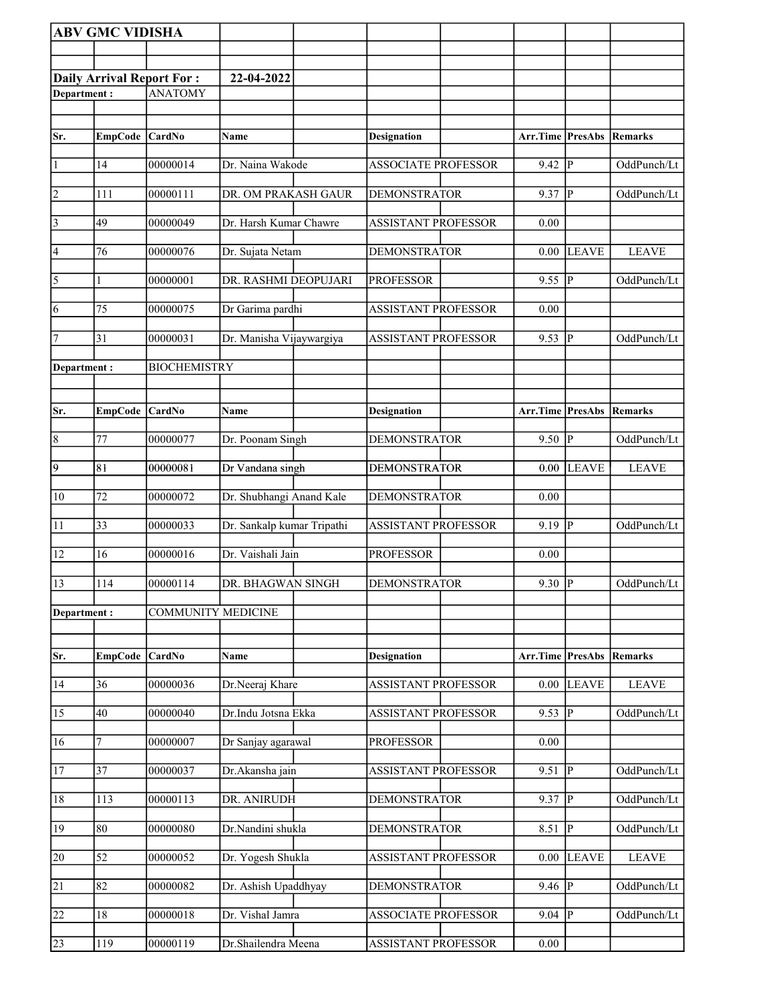|                 | <b>ABV GMC VIDISHA</b> |                                  |                            |                            |                         |                |              |
|-----------------|------------------------|----------------------------------|----------------------------|----------------------------|-------------------------|----------------|--------------|
|                 |                        |                                  |                            |                            |                         |                |              |
|                 |                        | <b>Daily Arrival Report For:</b> | 22-04-2022                 |                            |                         |                |              |
| Department:     |                        | <b>ANATOMY</b>                   |                            |                            |                         |                |              |
|                 |                        |                                  |                            |                            |                         |                |              |
| Sr.             | <b>EmpCode</b>         | <b>CardNo</b>                    | Name                       | <b>Designation</b>         | <b>Arr.Time PresAbs</b> |                | Remarks      |
| $\vert$ 1       | 14                     | 00000014                         | Dr. Naina Wakode           | <b>ASSOCIATE PROFESSOR</b> | 9.42                    | $\overline{P}$ | OddPunch/Lt  |
| 2               | 111                    | 00000111                         | DR. OM PRAKASH GAUR        | <b>DEMONSTRATOR</b>        | 9.37                    | P              | OddPunch/Lt  |
| $\vert$ 3       | 49                     | 00000049                         | Dr. Harsh Kumar Chawre     | <b>ASSISTANT PROFESSOR</b> | 0.00                    |                |              |
| $\vert 4$       | 76                     | 00000076                         | Dr. Sujata Netam           | <b>DEMONSTRATOR</b>        | $0.00\,$                | LEAVE          | <b>LEAVE</b> |
| $\overline{5}$  | 1                      | 00000001                         | DR. RASHMI DEOPUJARI       | <b>PROFESSOR</b>           | 9.55                    | P              | OddPunch/Lt  |
| 6               | 75                     | 00000075                         | Dr Garima pardhi           | <b>ASSISTANT PROFESSOR</b> | 0.00                    |                |              |
| 17              | 31                     | 00000031                         | Dr. Manisha Vijaywargiya   | <b>ASSISTANT PROFESSOR</b> | 9.53                    | P              | OddPunch/Lt  |
| Department:     |                        | <b>BIOCHEMISTRY</b>              |                            |                            |                         |                |              |
|                 |                        |                                  |                            |                            |                         |                |              |
| Sr.             | <b>EmpCode</b>         | CardNo                           | Name                       | <b>Designation</b>         | Arr.Time                | PresAbs        | Remarks      |
| $\overline{8}$  | 77                     | 00000077                         | Dr. Poonam Singh           | <b>DEMONSTRATOR</b>        | 9.50                    | $\overline{P}$ | OddPunch/Lt  |
| $\overline{9}$  | 81                     | 00000081                         | Dr Vandana singh           | <b>DEMONSTRATOR</b>        | 0.00                    | <b>LEAVE</b>   | <b>LEAVE</b> |
| 10              | 72                     | 00000072                         | Dr. Shubhangi Anand Kale   | <b>DEMONSTRATOR</b>        | 0.00                    |                |              |
| 11              | 33                     | 00000033                         | Dr. Sankalp kumar Tripathi | <b>ASSISTANT PROFESSOR</b> | 9.19                    | P              | OddPunch/Lt  |
| 12              | 16                     | 00000016                         | Dr. Vaishali Jain          | <b>PROFESSOR</b>           | 0.00                    |                |              |
| 13              | 114                    | 00000114                         | DR. BHAGWAN SINGH          | <b>DEMONSTRATOR</b>        | $9.30$ P                |                | OddPunch/Lt  |
| Department:     |                        | <b>COMMUNITY MEDICINE</b>        |                            |                            |                         |                |              |
|                 |                        |                                  |                            |                            |                         |                |              |
| Sr.             | <b>EmpCode</b>         | CardNo                           | <b>Name</b>                | <b>Designation</b>         | Arr.Time PresAbs        |                | Remarks      |
| 14              | 36                     | 00000036                         | Dr.Neeraj Khare            | <b>ASSISTANT PROFESSOR</b> | 0.00                    | <b>LEAVE</b>   | <b>LEAVE</b> |
| 15              | 40                     | 00000040                         | Dr.Indu Jotsna Ekka        | <b>ASSISTANT PROFESSOR</b> | 9.53                    | $ {\bf p} $    | OddPunch/Lt  |
| 16              |                        | 00000007                         | Dr Sanjay agarawal         | <b>PROFESSOR</b>           | 0.00                    |                |              |
| 17              | 37                     | 00000037                         | Dr.Akansha jain            | <b>ASSISTANT PROFESSOR</b> | 9.51                    | P              | OddPunch/Lt  |
| 18              | 113                    | 00000113                         | DR. ANIRUDH                | <b>DEMONSTRATOR</b>        | 9.37                    | P              | OddPunch/Lt  |
| 19              | 80                     | 00000080                         | Dr.Nandini shukla          | <b>DEMONSTRATOR</b>        | 8.51                    | <sup> </sup>   | OddPunch/Lt  |
| 20              | 52                     | 00000052                         | Dr. Yogesh Shukla          | <b>ASSISTANT PROFESSOR</b> | 0.00                    | <b>LEAVE</b>   | <b>LEAVE</b> |
| $\overline{21}$ | 82                     | 00000082                         | Dr. Ashish Upaddhyay       | <b>DEMONSTRATOR</b>        | 9.46                    | $\overline{P}$ | OddPunch/Lt  |
| 22              | 18                     | 00000018                         | Dr. Vishal Jamra           | ASSOCIATE PROFESSOR        | 9.04                    | ₽              | OddPunch/Lt  |
| 23              | 119                    | 00000119                         | Dr.Shailendra Meena        | <b>ASSISTANT PROFESSOR</b> | $0.00\,$                |                |              |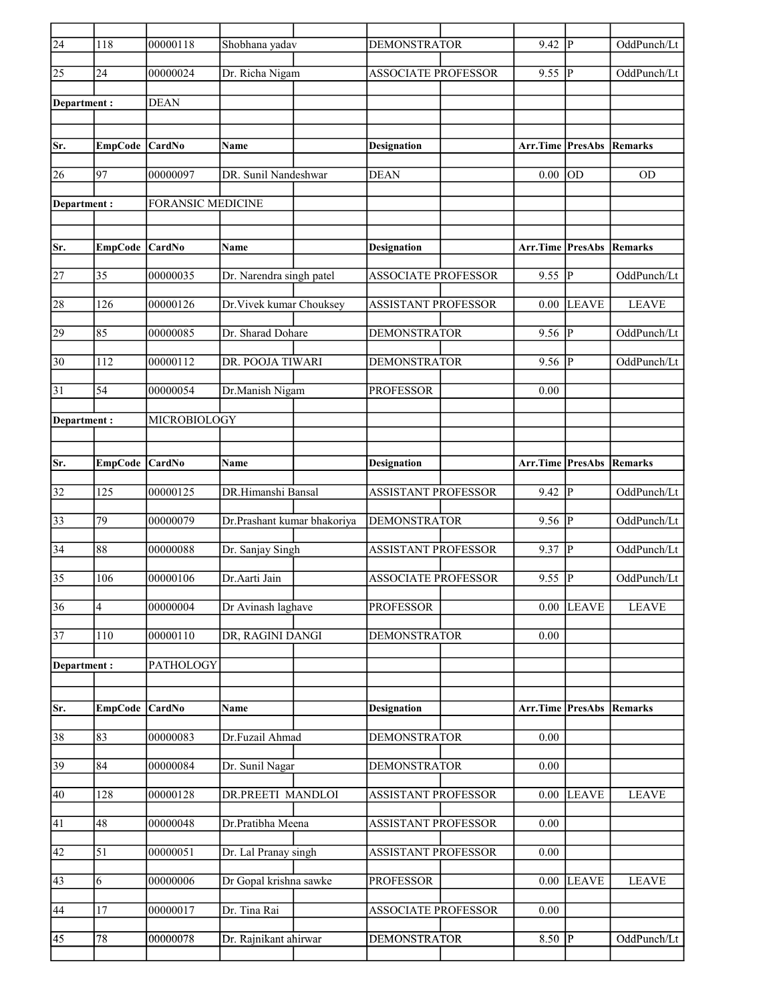| $\overline{24}$ | 118                     | 00000118                 | Shobhana yadav              | <b>DEMONSTRATOR</b>        | 9.42                            | lР             | OddPunch/Lt    |
|-----------------|-------------------------|--------------------------|-----------------------------|----------------------------|---------------------------------|----------------|----------------|
| 25              | 24                      | 00000024                 | Dr. Richa Nigam             | <b>ASSOCIATE PROFESSOR</b> | 9.55                            | lР             | OddPunch/Lt    |
| Department :    |                         | <b>DEAN</b>              |                             |                            |                                 |                |                |
|                 |                         |                          |                             |                            |                                 |                |                |
| Sr.             | <b>EmpCode</b>          | <b>CardNo</b>            | Name                        | <b>Designation</b>         | Arr.Time                        | PresAbs        | Remarks        |
| 26              | 97                      | 00000097                 | DR. Sunil Nandeshwar        | <b>DEAN</b>                | 0.00                            | lod            | <b>OD</b>      |
| Department:     |                         | <b>FORANSIC MEDICINE</b> |                             |                            |                                 |                |                |
|                 |                         |                          |                             |                            |                                 |                |                |
| Sr.             | EmpCode CardNo          |                          | <b>Name</b>                 | <b>Designation</b>         | <b>Arr.Time PresAbs Remarks</b> |                |                |
| 27              | 35                      | 00000035                 | Dr. Narendra singh patel    | <b>ASSOCIATE PROFESSOR</b> | 9.55                            | P              | OddPunch/Lt    |
| 28              | 126                     | 00000126                 | Dr. Vivek kumar Chouksey    | <b>ASSISTANT PROFESSOR</b> | 0.00                            | LEAVE          | <b>LEAVE</b>   |
| 29              | 85                      | 00000085                 | Dr. Sharad Dohare           | <b>DEMONSTRATOR</b>        | 9.56                            | P              | OddPunch/Lt    |
| 30              | 112                     | 00000112                 | DR. POOJA TIWARI            | <b>DEMONSTRATOR</b>        | 9.56                            | lР             | OddPunch/Lt    |
| 31              | 54                      | 00000054                 | Dr.Manish Nigam             | <b>PROFESSOR</b>           | 0.00                            |                |                |
| Department :    |                         | MICROBIOLOGY             |                             |                            |                                 |                |                |
|                 |                         |                          |                             |                            |                                 |                |                |
| Sr.             | EmpCode CardNo          |                          | <b>Name</b>                 | Designation                | <b>Arr.Time PresAbs Remarks</b> |                |                |
| 32              | 125                     | 00000125                 | DR.Himanshi Bansal          | <b>ASSISTANT PROFESSOR</b> | 9.42                            | P              | OddPunch/Lt    |
| 33              | 79                      | 00000079                 | Dr.Prashant kumar bhakoriya | <b>DEMONSTRATOR</b>        | 9.56 $ P $                      |                | OddPunch/Lt    |
| 34              | 88                      | 00000088                 | Dr. Sanjay Singh            | ASSISTANT PROFESSOR        | 9.37                            | lР             | OddPunch/Lt    |
| 35              | 106                     | 00000106                 | Dr. Aarti Jain              | <b>ASSOCIATE PROFESSOR</b> | 9.55                            | p              | OddPunch/Lt    |
| $\overline{36}$ | $\overline{\mathbf{4}}$ | 00000004                 | Dr Avinash laghave          | <b>PROFESSOR</b>           |                                 | $0.00$ LEAVE   | <b>LEAVE</b>   |
| 37              | 110                     | 00000110                 | DR, RAGINI DANGI            | <b>DEMONSTRATOR</b>        | $0.00\,$                        |                |                |
| Department:     |                         | PATHOLOGY                |                             |                            |                                 |                |                |
|                 |                         |                          |                             |                            |                                 |                |                |
| Sr.             | <b>EmpCode</b>          | CardNo                   | Name                        | <b>Designation</b>         | Arr.Time                        | <b>PresAbs</b> | <b>Remarks</b> |
| 38              | 83                      | 00000083                 | Dr.Fuzail Ahmad             | <b>DEMONSTRATOR</b>        | 0.00                            |                |                |
| $\overline{39}$ | 84                      | 00000084                 | Dr. Sunil Nagar             | <b>DEMONSTRATOR</b>        | 0.00                            |                |                |
| 40              | 128                     | 00000128                 | <b>DR.PREETI MANDLOI</b>    | <b>ASSISTANT PROFESSOR</b> | 0.00                            | <b>LEAVE</b>   | <b>LEAVE</b>   |
| 41              | 48                      | 00000048                 | Dr.Pratibha Meena           | ASSISTANT PROFESSOR        | 0.00                            |                |                |
| 42              | 51                      | 00000051                 | Dr. Lal Pranay singh        | <b>ASSISTANT PROFESSOR</b> | 0.00                            |                |                |
| 43              | 6                       | 00000006                 | Dr Gopal krishna sawke      | <b>PROFESSOR</b>           | $0.00\,$                        | <b>LEAVE</b>   | <b>LEAVE</b>   |
| 44              | 17                      | 00000017                 | Dr. Tina Rai                | <b>ASSOCIATE PROFESSOR</b> | 0.00                            |                |                |
| 45              | 78                      | 00000078                 | Dr. Rajnikant ahirwar       | <b>DEMONSTRATOR</b>        | $8.50$ P                        |                | OddPunch/Lt    |
|                 |                         |                          |                             |                            |                                 |                |                |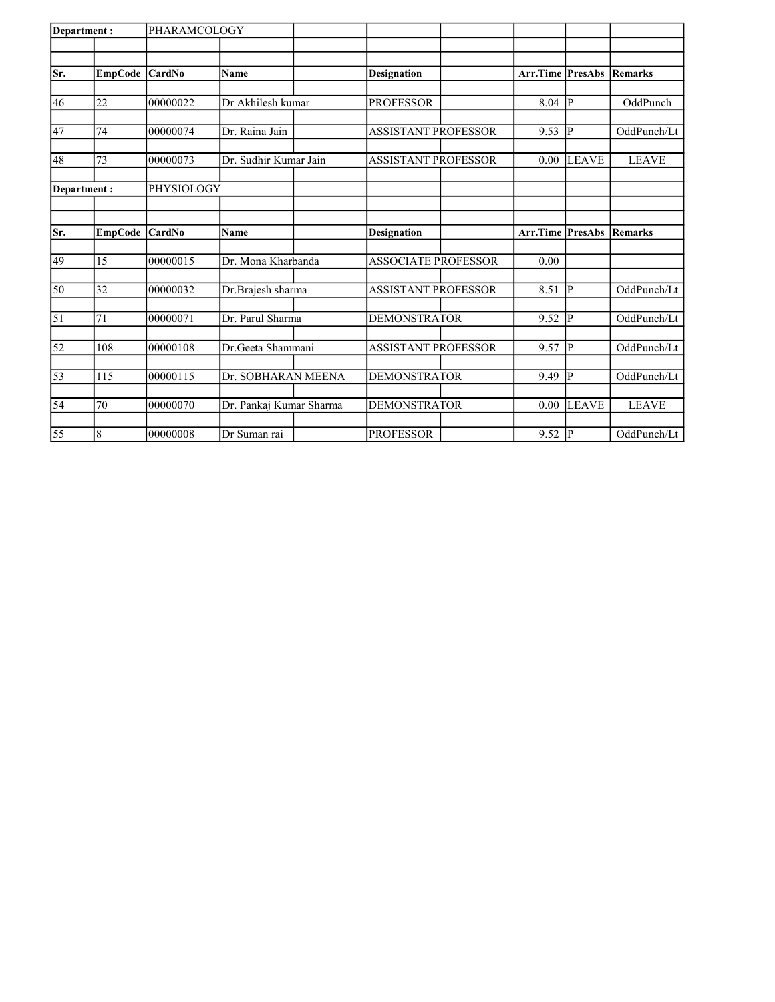| Department:      |                | PHARAMCOLOGY |                         |                            |                            |                           |              |              |
|------------------|----------------|--------------|-------------------------|----------------------------|----------------------------|---------------------------|--------------|--------------|
|                  |                |              |                         |                            |                            |                           |              |              |
| Sr.              |                |              | <b>Name</b>             | <b>Designation</b>         |                            | <b>Arr.Time   PresAbs</b> |              | Remarks      |
|                  | EmpCode CardNo |              |                         |                            |                            |                           |              |              |
| 46               | 22             | 00000022     | Dr Akhilesh kumar       | <b>PROFESSOR</b>           |                            | 8.04                      | P            | OddPunch     |
|                  |                |              |                         |                            |                            |                           |              |              |
| 47               | 74             | 00000074     | Dr. Raina Jain          | <b>ASSISTANT PROFESSOR</b> |                            | 9.53                      | P            | OddPunch/Lt  |
|                  |                |              |                         |                            |                            | 0.00                      |              |              |
| 48               | 73             | 00000073     | Dr. Sudhir Kumar Jain   |                            | <b>ASSISTANT PROFESSOR</b> |                           | <b>LEAVE</b> | <b>LEAVE</b> |
|                  |                |              |                         |                            |                            |                           |              |              |
| Department:      |                | PHYSIOLOGY   |                         |                            |                            |                           |              |              |
|                  |                |              |                         |                            |                            |                           |              |              |
| Sr.              | EmpCode CardNo |              | Name                    | <b>Designation</b>         |                            | <b>Arr.Time PresAbs</b>   |              | Remarks      |
|                  |                |              |                         |                            |                            |                           |              |              |
| 49               | 15             | 00000015     | Dr. Mona Kharbanda      | <b>ASSOCIATE PROFESSOR</b> |                            | 0.00                      |              |              |
| 50               | 32             | 00000032     | Dr.Brajesh sharma       | <b>ASSISTANT PROFESSOR</b> |                            | 8.51                      | P            | OddPunch/Lt  |
|                  |                |              |                         |                            |                            |                           |              |              |
| $\vert 51 \vert$ | 71             | 00000071     | Dr. Parul Sharma        | <b>DEMONSTRATOR</b>        |                            | 9.52                      | P            | OddPunch/Lt  |
| 52               | 108            | 00000108     | Dr.Geeta Shammani       | <b>ASSISTANT PROFESSOR</b> |                            | 9.57                      | p            | OddPunch/Lt  |
|                  |                |              |                         |                            |                            |                           |              |              |
| $\overline{53}$  | 115            | 00000115     | Dr. SOBHARAN MEENA      | <b>DEMONSTRATOR</b>        |                            | 9.49                      | p            | OddPunch/Lt  |
|                  |                |              |                         |                            |                            |                           |              |              |
| 54               | 70             | 00000070     | Dr. Pankaj Kumar Sharma | <b>DEMONSTRATOR</b>        |                            | 0.00                      | <b>LEAVE</b> | <b>LEAVE</b> |
|                  |                |              |                         |                            |                            |                           |              |              |
| $\overline{55}$  | 8              | 00000008     | Dr Suman rai            | <b>PROFESSOR</b>           |                            | 9.52                      | P            | OddPunch/Lt  |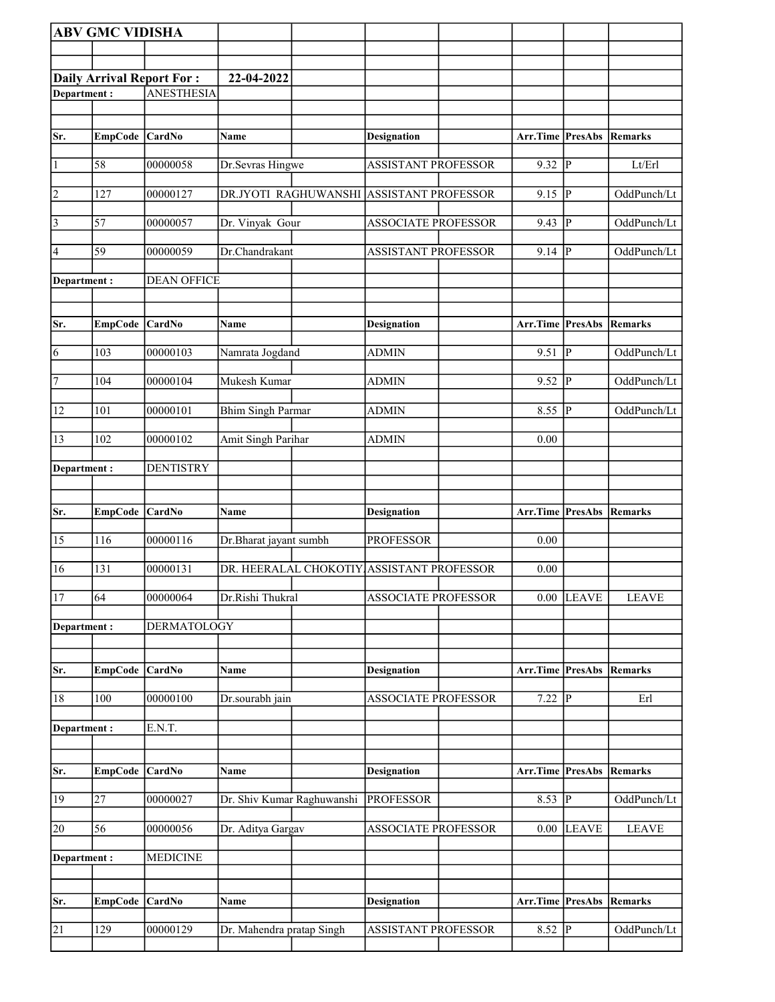|                | <b>ABV GMC VIDISHA</b> |                                  |                                           |                            |                                 |                |                |
|----------------|------------------------|----------------------------------|-------------------------------------------|----------------------------|---------------------------------|----------------|----------------|
|                |                        |                                  |                                           |                            |                                 |                |                |
|                |                        | <b>Daily Arrival Report For:</b> | 22-04-2022                                |                            |                                 |                |                |
| Department:    |                        | <b>ANESTHESIA</b>                |                                           |                            |                                 |                |                |
|                |                        |                                  |                                           |                            |                                 |                |                |
| Sr.            | EmpCode CardNo         |                                  | Name                                      | Designation                | Arr.Time PresAbs Remarks        |                |                |
| $\vert$ 1      | 58                     | 00000058                         | Dr.Sevras Hingwe                          | <b>ASSISTANT PROFESSOR</b> | 9.32                            | p              | Lt/Erl         |
| $\overline{2}$ | 127                    | 00000127                         | DR.JYOTI RAGHUWANSHI                      | <b>ASSISTANT PROFESSOR</b> | 9.15                            | <sup> </sup> P | OddPunch/Lt    |
| $\vert$ 3      | 57                     | 00000057                         | Dr. Vinyak Gour                           | <b>ASSOCIATE PROFESSOR</b> | 9.43                            | P              | OddPunch/Lt    |
| 4              | 59                     | 00000059                         | Dr.Chandrakant                            | <b>ASSISTANT PROFESSOR</b> |                                 | P              | OddPunch/Lt    |
|                |                        |                                  |                                           |                            | 9.14                            |                |                |
| Department:    |                        | <b>DEAN OFFICE</b>               |                                           |                            |                                 |                |                |
| Sr.            | EmpCode CardNo         |                                  | <b>Name</b>                               | <b>Designation</b>         | Arr.Time PresAbs Remarks        |                |                |
| $\overline{6}$ | 103                    | 00000103                         |                                           | <b>ADMIN</b>               | 9.51                            | P              | OddPunch/Lt    |
|                |                        |                                  | Namrata Jogdand                           |                            |                                 |                |                |
| 7              | 104                    | 00000104                         | Mukesh Kumar                              | <b>ADMIN</b>               | 9.52                            | P              | OddPunch/Lt    |
| 12             | 101                    | 00000101                         | <b>Bhim Singh Parmar</b>                  | <b>ADMIN</b>               | 8.55                            | P              | OddPunch/Lt    |
| 13             | 102                    | 00000102                         | Amit Singh Parihar                        | <b>ADMIN</b>               | 0.00                            |                |                |
| Department:    |                        | <b>DENTISTRY</b>                 |                                           |                            |                                 |                |                |
|                |                        |                                  |                                           |                            |                                 |                |                |
|                |                        |                                  |                                           |                            |                                 |                |                |
| Sr.            | EmpCode CardNo         |                                  | <b>Name</b>                               | <b>Designation</b>         | <b>Arr.Time PresAbs Remarks</b> |                |                |
| 15             | 116                    | 00000116                         | Dr.Bharat jayant sumbh                    | <b>PROFESSOR</b>           | 0.00                            |                |                |
| 16             | 131                    | 00000131                         | DR. HEERALAL CHOKOTIY ASSISTANT PROFESSOR |                            | 0.00                            |                |                |
| 17             | 64                     | 00000064                         | Dr.Rishi Thukral                          | ASSOCIATE PROFESSOR        |                                 | $0.00$ LEAVE   | <b>LEAVE</b>   |
| Department:    |                        | <b>DERMATOLOGY</b>               |                                           |                            |                                 |                |                |
|                |                        |                                  |                                           |                            |                                 |                |                |
| Sr.            | <b>EmpCode</b>         | CardNo                           | Name                                      | <b>Designation</b>         | Arr.Time                        | PresAbs        | <b>Remarks</b> |
| 18             | 100                    | 00000100                         | Dr.sourabh jain                           | <b>ASSOCIATE PROFESSOR</b> | 7.22                            | $\overline{P}$ | Erl            |
| Department:    |                        | E.N.T.                           |                                           |                            |                                 |                |                |
|                |                        |                                  |                                           |                            |                                 |                |                |
| Sr.            | EmpCode CardNo         |                                  | Name                                      | <b>Designation</b>         | Arr.Time PresAbs                |                | Remarks        |
| 19             | 27                     | 00000027                         | Dr. Shiv Kumar Raghuwanshi                | <b>PROFESSOR</b>           | 8.53 $\sqrt{P}$                 |                | OddPunch/Lt    |
| 20             | 56                     | 00000056                         | Dr. Aditya Gargav                         | ASSOCIATE PROFESSOR        | 0.00                            | <b>LEAVE</b>   | <b>LEAVE</b>   |
| Department:    |                        | <b>MEDICINE</b>                  |                                           |                            |                                 |                |                |
|                |                        |                                  |                                           |                            |                                 |                |                |
| Sr.            | <b>EmpCode</b>         | <b>CardNo</b>                    | Name                                      | <b>Designation</b>         | Arr.Time                        | PresAbs        | Remarks        |
| 21             | 129                    | 00000129                         | Dr. Mahendra pratap Singh                 | ASSISTANT PROFESSOR        | $8.\overline{52}$ P             |                | OddPunch/Lt    |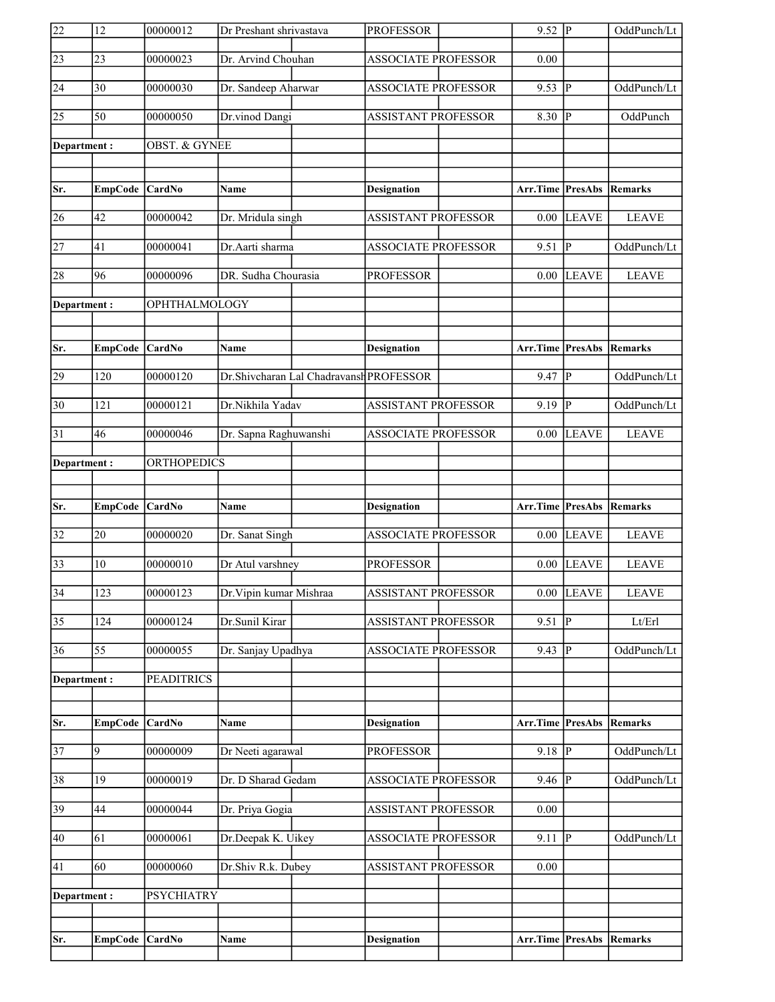| 22              | 12               | 00000012                 | Dr Preshant shrivastava                 | <b>PROFESSOR</b>           | $9.52 \overline{P}$      |                | OddPunch/Lt    |
|-----------------|------------------|--------------------------|-----------------------------------------|----------------------------|--------------------------|----------------|----------------|
| 23              | 23               | 00000023                 | Dr. Arvind Chouhan                      | <b>ASSOCIATE PROFESSOR</b> | 0.00                     |                |                |
| 24              | 30               | 00000030                 | Dr. Sandeep Aharwar                     | <b>ASSOCIATE PROFESSOR</b> | 9.53                     | <sup> </sup> P | OddPunch/Lt    |
| 25              | $\overline{50}$  | 00000050                 | Dr.vinod Dangi                          | <b>ASSISTANT PROFESSOR</b> | $8.30$ P                 |                | OddPunch       |
| Department:     |                  | <b>OBST. &amp; GYNEE</b> |                                         |                            |                          |                |                |
|                 |                  |                          |                                         |                            |                          |                |                |
| Sr.             | EmpCode          | CardNo                   | <b>Name</b>                             | <b>Designation</b>         | <b>Arr.Time PresAbs</b>  |                | Remarks        |
| 26              | 42               | 00000042                 | Dr. Mridula singh                       | <b>ASSISTANT PROFESSOR</b> | 0.00                     | <b>LEAVE</b>   | <b>LEAVE</b>   |
| 27              | 41               | 00000041                 | Dr.Aarti sharma                         | <b>ASSOCIATE PROFESSOR</b> | 9.51                     | P              | OddPunch/Lt    |
| 28              | 96               | 00000096                 | DR. Sudha Chourasia                     | <b>PROFESSOR</b>           | 0.00                     | <b>LEAVE</b>   | <b>LEAVE</b>   |
| Department:     |                  | OPHTHALMOLOGY            |                                         |                            |                          |                |                |
|                 |                  |                          |                                         |                            |                          |                |                |
| Sr.             | EmpCode CardNo   |                          | Name                                    | <b>Designation</b>         | Arr.Time PresAbs Remarks |                |                |
| 29              | 120              | 00000120                 | Dr.Shivcharan Lal Chadravansh PROFESSOR |                            | 9.47                     | P              | OddPunch/Lt    |
| $ 30\rangle$    | 121              | 00000121                 | Dr.Nikhila Yadav                        | <b>ASSISTANT PROFESSOR</b> | 9.19                     | P              | OddPunch/Lt    |
| 31              | 46               | 00000046                 | Dr. Sapna Raghuwanshi                   | <b>ASSOCIATE PROFESSOR</b> | 0.00                     | <b>LEAVE</b>   | <b>LEAVE</b>   |
| Department:     |                  | <b>ORTHOPEDICS</b>       |                                         |                            |                          |                |                |
|                 |                  |                          |                                         |                            |                          |                |                |
|                 |                  |                          |                                         |                            |                          |                |                |
| Sr.             | EmpCode          | <b>CardNo</b>            | Name                                    | <b>Designation</b>         | Arr.Time PresAbs         |                | Remarks        |
| 32              | 20               | 00000020                 | Dr. Sanat Singh                         | <b>ASSOCIATE PROFESSOR</b> |                          | $0.00$ LEAVE   | <b>LEAVE</b>   |
| 33              | 10               | 00000010                 | Dr Atul varshney                        | <b>PROFESSOR</b>           |                          | $0.00$ LEAVE   | <b>LEAVE</b>   |
| $\overline{34}$ | $\overline{123}$ | 00000123                 | Dr. Vipin kumar Mishraa                 | <b>ASSISTANT PROFESSOR</b> | 0.00                     | LEAVE          | <b>LEAVE</b>   |
| $\overline{35}$ | 124              | 00000124                 | Dr.Sunil Kirar                          | <b>ASSISTANT PROFESSOR</b> | 9.51                     | <sup> </sup> P | Lt/Erl         |
| 36              | 55               | 00000055                 | Dr. Sanjay Upadhya                      | <b>ASSOCIATE PROFESSOR</b> | 9.43                     | P              | OddPunch/Lt    |
| Department:     |                  | <b>PEADITRICS</b>        |                                         |                            |                          |                |                |
|                 |                  |                          |                                         |                            |                          |                |                |
| Sr.             | <b>EmpCode</b>   | CardNo                   | Name                                    | <b>Designation</b>         | <b>Arr.Time PresAbs</b>  |                | <b>Remarks</b> |
| 37              | $\overline{9}$   | 00000009                 | Dr Neeti agarawal                       | <b>PROFESSOR</b>           | $9.18$ P                 |                | OddPunch/Lt    |
| 38              | 19               | 00000019                 | Dr. D Sharad Gedam                      | <b>ASSOCIATE PROFESSOR</b> | $9.\overline{46}$ P      |                | OddPunch/Lt    |
| 39              | 44               | 00000044                 | Dr. Priya Gogia                         | ASSISTANT PROFESSOR        | 0.00                     |                |                |
| 40              | 61               | 00000061                 | Dr.Deepak K. Uikey                      | <b>ASSOCIATE PROFESSOR</b> | 9.11                     | P              | OddPunch/Lt    |
| 41              | 60               | 00000060                 | Dr.Shiv R.k. Dubey                      | <b>ASSISTANT PROFESSOR</b> | 0.00                     |                |                |
| Department :    |                  | <b>PSYCHIATRY</b>        |                                         |                            |                          |                |                |
|                 |                  |                          |                                         |                            |                          |                |                |